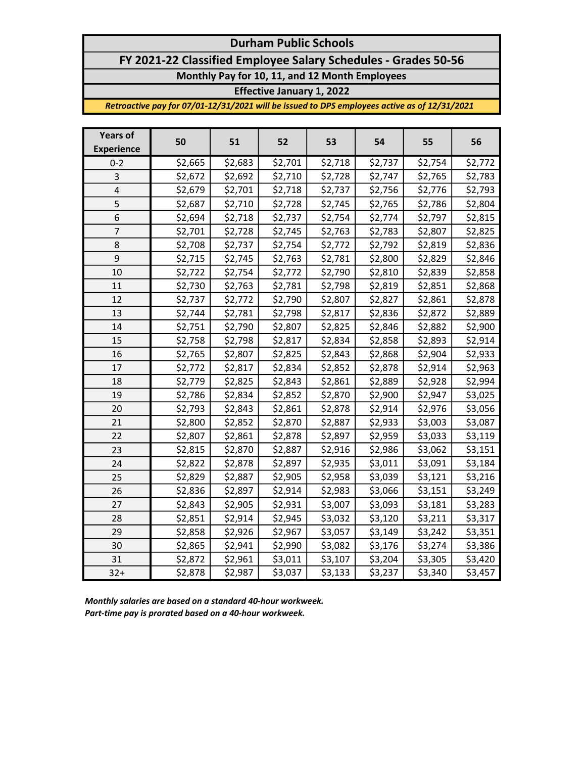#### Durham Public Schools

# FY 2021-22 Classified Employee Salary Schedules - Grades 50-56

Monthly Pay for 10, 11, and 12 Month Employees

Effective January 1, 2022

Retroactive pay for 07/01-12/31/2021 will be issued to DPS employees active as of 12/31/2021

| <b>Years of</b><br><b>Experience</b> | 50      | 51      | 52      | 53      | 54      | 55      | 56      |
|--------------------------------------|---------|---------|---------|---------|---------|---------|---------|
| $0 - 2$                              | \$2,665 | \$2,683 | \$2,701 | \$2,718 | \$2,737 | \$2,754 | \$2,772 |
| 3                                    | \$2,672 | \$2,692 | \$2,710 | \$2,728 | \$2,747 | \$2,765 | \$2,783 |
| 4                                    | \$2,679 | \$2,701 | \$2,718 | \$2,737 | \$2,756 | \$2,776 | \$2,793 |
| 5                                    | \$2,687 | \$2,710 | \$2,728 | \$2,745 | \$2,765 | \$2,786 | \$2,804 |
| 6                                    | \$2,694 | \$2,718 | \$2,737 | \$2,754 | \$2,774 | \$2,797 | \$2,815 |
| 7                                    | \$2,701 | \$2,728 | \$2,745 | \$2,763 | \$2,783 | \$2,807 | \$2,825 |
| 8                                    | \$2,708 | \$2,737 | \$2,754 | \$2,772 | \$2,792 | \$2,819 | \$2,836 |
| 9                                    | \$2,715 | \$2,745 | \$2,763 | \$2,781 | \$2,800 | \$2,829 | \$2,846 |
| 10                                   | \$2,722 | \$2,754 | \$2,772 | \$2,790 | \$2,810 | \$2,839 | \$2,858 |
| 11                                   | \$2,730 | \$2,763 | \$2,781 | \$2,798 | \$2,819 | \$2,851 | \$2,868 |
| 12                                   | \$2,737 | \$2,772 | \$2,790 | \$2,807 | \$2,827 | \$2,861 | \$2,878 |
| 13                                   | \$2,744 | \$2,781 | \$2,798 | \$2,817 | \$2,836 | \$2,872 | \$2,889 |
| 14                                   | \$2,751 | \$2,790 | \$2,807 | \$2,825 | \$2,846 | \$2,882 | \$2,900 |
| 15                                   | \$2,758 | \$2,798 | \$2,817 | \$2,834 | \$2,858 | \$2,893 | \$2,914 |
| 16                                   | \$2,765 | \$2,807 | \$2,825 | \$2,843 | \$2,868 | \$2,904 | \$2,933 |
| 17                                   | \$2,772 | \$2,817 | \$2,834 | \$2,852 | \$2,878 | \$2,914 | \$2,963 |
| 18                                   | \$2,779 | \$2,825 | \$2,843 | \$2,861 | \$2,889 | \$2,928 | \$2,994 |
| 19                                   | \$2,786 | \$2,834 | \$2,852 | \$2,870 | \$2,900 | \$2,947 | \$3,025 |
| 20                                   | \$2,793 | \$2,843 | \$2,861 | \$2,878 | \$2,914 | \$2,976 | \$3,056 |
| 21                                   | \$2,800 | \$2,852 | \$2,870 | \$2,887 | \$2,933 | \$3,003 | \$3,087 |
| 22                                   | \$2,807 | \$2,861 | \$2,878 | \$2,897 | \$2,959 | \$3,033 | \$3,119 |
| 23                                   | \$2,815 | \$2,870 | \$2,887 | \$2,916 | \$2,986 | \$3,062 | \$3,151 |
| 24                                   | \$2,822 | \$2,878 | \$2,897 | \$2,935 | \$3,011 | \$3,091 | \$3,184 |
| 25                                   | \$2,829 | \$2,887 | \$2,905 | \$2,958 | \$3,039 | \$3,121 | \$3,216 |
| 26                                   | \$2,836 | \$2,897 | \$2,914 | \$2,983 | \$3,066 | \$3,151 | \$3,249 |
| 27                                   | \$2,843 | \$2,905 | \$2,931 | \$3,007 | \$3,093 | \$3,181 | \$3,283 |
| 28                                   | \$2,851 | \$2,914 | \$2,945 | \$3,032 | \$3,120 | \$3,211 | \$3,317 |
| 29                                   | \$2,858 | \$2,926 | \$2,967 | \$3,057 | \$3,149 | \$3,242 | \$3,351 |
| 30                                   | \$2,865 | \$2,941 | \$2,990 | \$3,082 | \$3,176 | \$3,274 | \$3,386 |
| 31                                   | \$2,872 | \$2,961 | \$3,011 | \$3,107 | \$3,204 | \$3,305 | \$3,420 |
| $32+$                                | \$2,878 | \$2,987 | \$3,037 | \$3,133 | \$3,237 | \$3,340 | \$3,457 |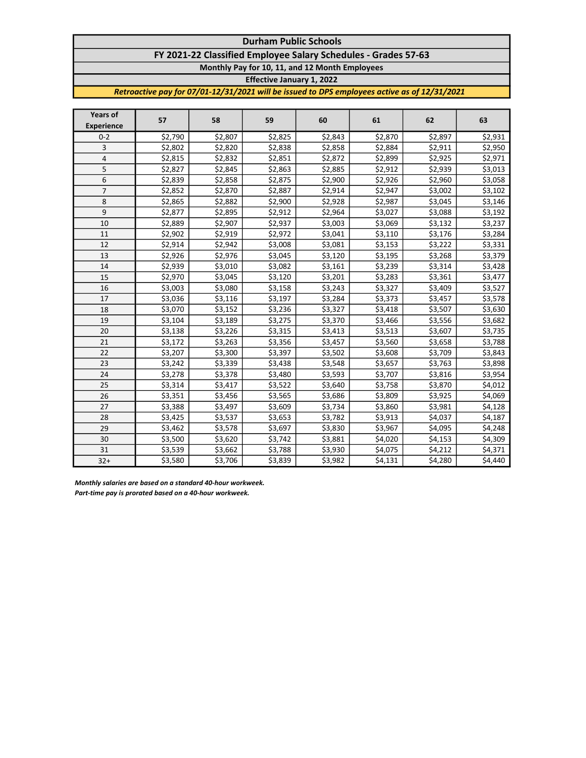#### Durham Public Schools FY 2021-22 Classified Employee Salary Schedules - Grades 57-63

Monthly Pay for 10, 11, and 12 Month Employees

Effective January 1, 2022

Retroactive pay for 07/01-12/31/2021 will be issued to DPS employees active as of 12/31/2021

| <b>Years of</b><br><b>Experience</b> | 57      | 58      | 59      | 60      | 61      | 62      | 63      |
|--------------------------------------|---------|---------|---------|---------|---------|---------|---------|
| $0 - 2$                              | \$2,790 | \$2,807 | \$2,825 | \$2,843 | \$2,870 | \$2,897 | \$2,931 |
| 3                                    | \$2,802 | \$2,820 | \$2,838 | \$2,858 | \$2,884 | \$2,911 | \$2,950 |
| 4                                    | \$2,815 | \$2,832 | \$2,851 | \$2,872 | \$2,899 | \$2,925 | \$2,971 |
| 5                                    | \$2,827 | \$2,845 | \$2,863 | \$2,885 | \$2,912 | \$2,939 | \$3,013 |
| 6                                    | \$2,839 | \$2,858 | \$2,875 | \$2,900 | \$2,926 | \$2,960 | \$3,058 |
| $\overline{7}$                       | \$2,852 | \$2,870 | \$2,887 | \$2,914 | \$2,947 | \$3,002 | \$3,102 |
| 8                                    | \$2,865 | \$2,882 | \$2,900 | \$2,928 | \$2,987 | \$3,045 | \$3,146 |
| 9                                    | \$2,877 | \$2,895 | \$2,912 | \$2,964 | \$3,027 | \$3,088 | \$3,192 |
| 10                                   | \$2,889 | \$2,907 | \$2,937 | \$3,003 | \$3,069 | \$3,132 | \$3,237 |
| 11                                   | \$2,902 | \$2,919 | \$2,972 | \$3,041 | \$3,110 | \$3,176 | \$3,284 |
| 12                                   | \$2,914 | \$2,942 | \$3,008 | \$3,081 | \$3,153 | \$3,222 | \$3,331 |
| 13                                   | \$2,926 | \$2,976 | \$3,045 | \$3,120 | \$3,195 | \$3,268 | \$3,379 |
| 14                                   | \$2,939 | \$3,010 | \$3,082 | \$3,161 | \$3,239 | \$3,314 | \$3,428 |
| 15                                   | \$2,970 | \$3,045 | \$3,120 | \$3,201 | \$3,283 | \$3,361 | \$3,477 |
| 16                                   | \$3,003 | \$3,080 | \$3,158 | \$3,243 | \$3,327 | \$3,409 | \$3,527 |
| 17                                   | \$3,036 | \$3,116 | \$3,197 | \$3,284 | \$3,373 | \$3,457 | \$3,578 |
| 18                                   | \$3,070 | \$3,152 | \$3,236 | \$3,327 | \$3,418 | \$3,507 | \$3,630 |
| 19                                   | \$3,104 | \$3,189 | \$3,275 | \$3,370 | \$3,466 | \$3,556 | \$3,682 |
| 20                                   | \$3,138 | \$3,226 | \$3,315 | \$3,413 | \$3,513 | \$3,607 | \$3,735 |
| 21                                   | \$3,172 | \$3,263 | \$3,356 | \$3,457 | \$3,560 | \$3,658 | \$3,788 |
| 22                                   | \$3,207 | \$3,300 | \$3,397 | \$3,502 | \$3,608 | \$3,709 | \$3,843 |
| 23                                   | \$3,242 | \$3,339 | \$3,438 | \$3,548 | \$3,657 | \$3,763 | \$3,898 |
| 24                                   | \$3,278 | \$3,378 | \$3,480 | \$3,593 | \$3,707 | \$3,816 | \$3,954 |
| 25                                   | \$3,314 | \$3,417 | \$3,522 | \$3,640 | \$3,758 | \$3,870 | \$4,012 |
| 26                                   | \$3,351 | \$3,456 | \$3,565 | \$3,686 | \$3,809 | \$3,925 | \$4,069 |
| 27                                   | \$3,388 | \$3,497 | \$3,609 | \$3,734 | \$3,860 | \$3,981 | \$4,128 |
| 28                                   | \$3,425 | \$3,537 | \$3,653 | \$3,782 | \$3,913 | \$4,037 | \$4,187 |
| 29                                   | \$3,462 | \$3,578 | \$3,697 | \$3,830 | \$3,967 | \$4,095 | \$4,248 |
| 30                                   | \$3,500 | \$3,620 | \$3,742 | \$3,881 | \$4,020 | \$4,153 | \$4,309 |
| 31                                   | \$3,539 | \$3,662 | \$3,788 | \$3,930 | \$4,075 | \$4,212 | \$4,371 |
| $32+$                                | \$3,580 | \$3,706 | \$3,839 | \$3,982 | \$4,131 | \$4,280 | \$4,440 |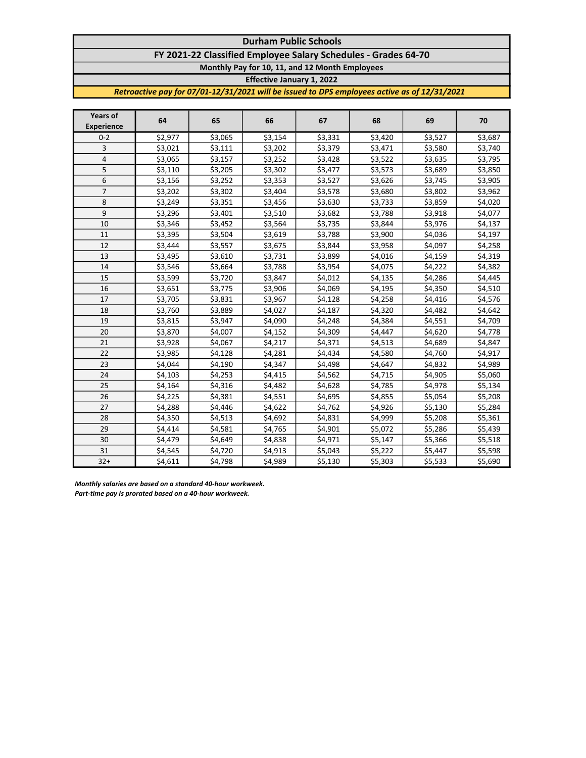# Durham Public Schools FY 2021-22 Classified Employee Salary Schedules - Grades 64-70

Monthly Pay for 10, 11, and 12 Month Employees

Effective January 1, 2022

Retroactive pay for 07/01-12/31/2021 will be issued to DPS employees active as of 12/31/2021

| <b>Years of</b><br><b>Experience</b> | 64      | 65      | 66      | 67      | 68      | 69      | 70      |
|--------------------------------------|---------|---------|---------|---------|---------|---------|---------|
| $0 - 2$                              | \$2,977 | \$3,065 | \$3,154 | \$3,331 | \$3,420 | \$3,527 | \$3,687 |
| 3                                    | \$3,021 | \$3,111 | \$3,202 | \$3,379 | \$3,471 | \$3,580 | \$3,740 |
| $\overline{4}$                       | \$3,065 | \$3,157 | \$3,252 | \$3,428 | \$3,522 | \$3,635 | \$3,795 |
| 5                                    | \$3,110 | \$3,205 | \$3,302 | \$3,477 | \$3,573 | \$3,689 | \$3,850 |
| 6                                    | \$3,156 | \$3,252 | \$3,353 | \$3,527 | \$3,626 | \$3,745 | \$3,905 |
| $\overline{7}$                       | \$3,202 | \$3,302 | \$3,404 | \$3,578 | \$3,680 | \$3,802 | \$3,962 |
| 8                                    | \$3,249 | \$3,351 | \$3,456 | \$3,630 | \$3,733 | \$3,859 | \$4,020 |
| 9                                    | \$3,296 | \$3,401 | \$3,510 | \$3,682 | \$3,788 | \$3,918 | \$4,077 |
| 10                                   | \$3,346 | \$3,452 | \$3,564 | \$3,735 | \$3,844 | \$3,976 | \$4,137 |
| 11                                   | \$3,395 | \$3,504 | \$3,619 | \$3,788 | \$3,900 | \$4,036 | \$4,197 |
| 12                                   | \$3,444 | \$3,557 | \$3,675 | \$3,844 | \$3,958 | \$4,097 | \$4,258 |
| 13                                   | \$3,495 | \$3,610 | \$3,731 | \$3,899 | \$4,016 | \$4,159 | \$4,319 |
| 14                                   | \$3,546 | \$3,664 | \$3,788 | \$3,954 | \$4,075 | \$4,222 | \$4,382 |
| 15                                   | \$3,599 | \$3,720 | \$3,847 | \$4,012 | \$4,135 | \$4,286 | \$4,445 |
| 16                                   | \$3,651 | \$3,775 | \$3,906 | \$4,069 | \$4,195 | \$4,350 | \$4,510 |
| 17                                   | \$3,705 | \$3,831 | \$3,967 | \$4,128 | \$4,258 | \$4,416 | \$4,576 |
| 18                                   | \$3,760 | \$3,889 | \$4,027 | \$4,187 | \$4,320 | \$4,482 | \$4,642 |
| 19                                   | \$3,815 | \$3,947 | \$4,090 | \$4,248 | \$4,384 | \$4,551 | \$4,709 |
| 20                                   | \$3,870 | \$4,007 | \$4,152 | \$4,309 | \$4,447 | \$4,620 | \$4,778 |
| 21                                   | \$3,928 | \$4,067 | \$4,217 | \$4,371 | \$4,513 | \$4,689 | \$4,847 |
| 22                                   | \$3,985 | \$4,128 | \$4,281 | \$4,434 | \$4,580 | \$4,760 | \$4,917 |
| 23                                   | \$4,044 | \$4,190 | \$4,347 | \$4,498 | \$4,647 | \$4,832 | \$4,989 |
| 24                                   | \$4,103 | \$4,253 | \$4,415 | \$4,562 | \$4,715 | \$4,905 | \$5,060 |
| 25                                   | \$4,164 | \$4,316 | \$4,482 | \$4,628 | \$4,785 | \$4,978 | \$5,134 |
| 26                                   | \$4,225 | \$4,381 | \$4,551 | \$4,695 | \$4,855 | \$5,054 | \$5,208 |
| 27                                   | \$4,288 | \$4,446 | \$4,622 | \$4,762 | \$4,926 | \$5,130 | \$5,284 |
| 28                                   | \$4,350 | \$4,513 | \$4,692 | \$4,831 | \$4,999 | \$5,208 | \$5,361 |
| 29                                   | \$4,414 | \$4,581 | \$4,765 | \$4,901 | \$5,072 | \$5,286 | \$5,439 |
| 30                                   | \$4,479 | \$4,649 | \$4,838 | \$4,971 | \$5,147 | \$5,366 | \$5,518 |
| 31                                   | \$4,545 | \$4,720 | \$4,913 | \$5,043 | \$5,222 | \$5,447 | \$5,598 |
| $32+$                                | \$4,611 | \$4,798 | \$4,989 | \$5,130 | \$5,303 | \$5,533 | \$5,690 |

Monthly salaries are based on a standard 40-hour workweek.

Part-time pay is prorated based on a 40-hour workweek.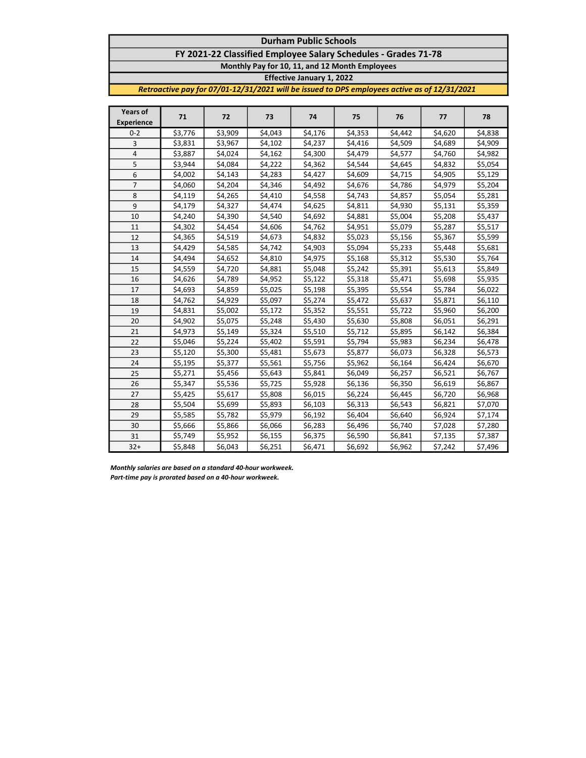# Durham Public Schools

FY 2021-22 Classified Employee Salary Schedules - Grades 71-78

Monthly Pay for 10, 11, and 12 Month Employees

Effective January 1, 2022

Retroactive pay for 07/01-12/31/2021 will be issued to DPS employees active as of 12/31/2021

| <b>Years of</b><br><b>Experience</b> | 71      | 72      | 73      | 74      | 75      | 76      | 77      | 78      |
|--------------------------------------|---------|---------|---------|---------|---------|---------|---------|---------|
| $0 - 2$                              | \$3,776 | \$3,909 | \$4,043 | \$4,176 | \$4,353 | \$4,442 | \$4,620 | \$4,838 |
| 3                                    | \$3,831 | \$3,967 | \$4,102 | \$4,237 | \$4,416 | \$4,509 | \$4,689 | \$4,909 |
| 4                                    | \$3,887 | \$4,024 | \$4,162 | \$4,300 | \$4,479 | \$4,577 | \$4,760 | \$4,982 |
| 5                                    | \$3,944 | \$4,084 | \$4,222 | \$4,362 | \$4,544 | \$4,645 | \$4,832 | \$5,054 |
| 6                                    | \$4,002 | \$4,143 | \$4,283 | \$4,427 | \$4,609 | \$4,715 | \$4,905 | \$5,129 |
| $\overline{7}$                       | \$4,060 | \$4,204 | \$4,346 | \$4,492 | \$4,676 | \$4,786 | \$4,979 | \$5,204 |
| 8                                    | \$4,119 | \$4,265 | \$4,410 | \$4,558 | \$4,743 | \$4,857 | \$5,054 | \$5,281 |
| 9                                    | \$4,179 | \$4,327 | \$4,474 | \$4,625 | \$4,811 | \$4,930 | \$5,131 | \$5,359 |
| 10                                   | \$4,240 | \$4,390 | \$4,540 | \$4,692 | \$4,881 | \$5,004 | \$5,208 | \$5,437 |
| 11                                   | \$4,302 | \$4,454 | \$4,606 | \$4,762 | \$4,951 | \$5,079 | \$5,287 | \$5,517 |
| 12                                   | \$4,365 | \$4,519 | \$4,673 | \$4,832 | \$5,023 | \$5,156 | \$5,367 | \$5,599 |
| 13                                   | \$4,429 | \$4,585 | \$4,742 | \$4,903 | \$5,094 | \$5,233 | \$5,448 | \$5,681 |
| 14                                   | \$4,494 | \$4,652 | \$4,810 | \$4,975 | \$5,168 | \$5,312 | \$5,530 | \$5,764 |
| 15                                   | \$4,559 | \$4,720 | \$4,881 | \$5,048 | \$5,242 | \$5,391 | \$5,613 | \$5,849 |
| 16                                   | \$4,626 | \$4,789 | \$4,952 | \$5,122 | \$5,318 | \$5,471 | \$5,698 | \$5,935 |
| 17                                   | \$4,693 | \$4,859 | \$5,025 | \$5,198 | \$5,395 | \$5,554 | \$5,784 | \$6,022 |
| 18                                   | \$4,762 | \$4,929 | \$5,097 | \$5,274 | \$5,472 | \$5,637 | \$5,871 | \$6,110 |
| 19                                   | \$4,831 | \$5,002 | \$5,172 | \$5,352 | \$5,551 | \$5,722 | \$5,960 | \$6,200 |
| 20                                   | \$4,902 | \$5,075 | \$5,248 | \$5,430 | \$5,630 | \$5,808 | \$6,051 | \$6,291 |
| 21                                   | \$4,973 | \$5,149 | \$5,324 | \$5,510 | \$5,712 | \$5,895 | \$6,142 | \$6,384 |
| 22                                   | \$5,046 | \$5,224 | \$5,402 | \$5,591 | \$5,794 | \$5,983 | \$6,234 | \$6,478 |
| 23                                   | \$5,120 | \$5,300 | \$5,481 | \$5,673 | \$5,877 | \$6,073 | \$6,328 | \$6,573 |
| 24                                   | \$5,195 | \$5,377 | \$5,561 | \$5,756 | \$5,962 | \$6,164 | \$6,424 | \$6,670 |
| 25                                   | \$5,271 | \$5,456 | \$5,643 | \$5,841 | \$6,049 | \$6,257 | \$6,521 | \$6,767 |
| 26                                   | \$5,347 | \$5,536 | \$5,725 | \$5,928 | \$6,136 | \$6,350 | \$6,619 | \$6,867 |
| 27                                   | \$5,425 | \$5,617 | \$5,808 | \$6,015 | \$6,224 | \$6,445 | \$6,720 | \$6,968 |
| 28                                   | \$5,504 | \$5,699 | \$5,893 | \$6,103 | \$6,313 | \$6,543 | \$6,821 | \$7,070 |
| 29                                   | \$5,585 | \$5,782 | \$5,979 | \$6,192 | \$6,404 | \$6,640 | \$6,924 | \$7,174 |
| 30                                   | \$5,666 | \$5,866 | \$6,066 | \$6,283 | \$6,496 | \$6,740 | \$7,028 | \$7,280 |
| 31                                   | \$5,749 | \$5,952 | \$6,155 | \$6,375 | \$6,590 | \$6,841 | \$7,135 | \$7,387 |
| $32+$                                | \$5,848 | \$6,043 | \$6,251 | \$6,471 | \$6,692 | \$6,962 | \$7,242 | \$7,496 |